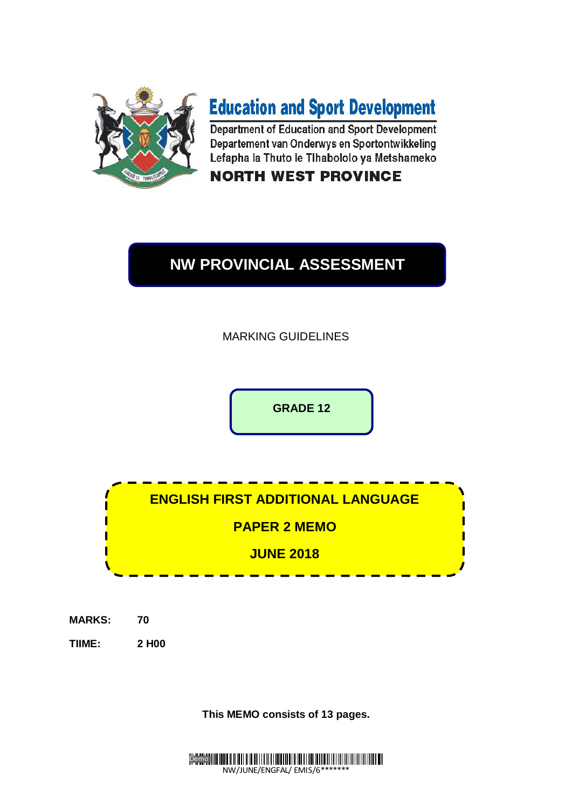

# **Education and Sport Development**

Department of Education and Sport Development Departement van Onderwys en Sportontwikkeling Lefapha la Thuto le Tlhabololo ya Metshameko

# **NORTH WEST PROVINCE**

# **NW PROVINCIAL ASSESSMENT**

MARKING GUIDELINES

**GRADE 12**

**ENGLISH FIRST ADDITIONAL LANGUAGE PAPER 2 MEMO JUNE 2018**

- **MARKS: 70**
- **TIIME: 2 H00**

**This MEMO consists of 13 pages.**

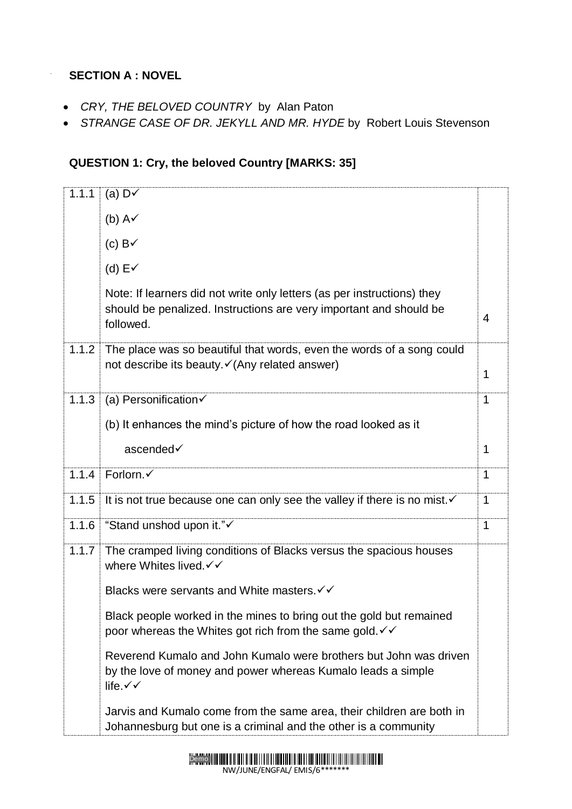## **SECTION A : NOVEL**

- *CRY, THE BELOVED COUNTRY* by Alan Paton
- *STRANGE CASE OF DR. JEKYLL AND MR. HYDE* by Robert Louis Stevenson

# **QUESTION 1: Cry, the beloved Country [MARKS: 35]**

| 1.1.1 | (a) $D\checkmark$                                                                                                                                                 |   |
|-------|-------------------------------------------------------------------------------------------------------------------------------------------------------------------|---|
|       | (b) $A\checkmark$                                                                                                                                                 |   |
|       | (c) $B\checkmark$                                                                                                                                                 |   |
|       | (d) $E\checkmark$                                                                                                                                                 |   |
|       | Note: If learners did not write only letters (as per instructions) they<br>should be penalized. Instructions are very important and should be<br>followed.        | 4 |
| 1.1.2 | The place was so beautiful that words, even the words of a song could<br>not describe its beauty. <del>√</del> (Any related answer)                               | 1 |
| 1.1.3 | (a) Personification $\checkmark$                                                                                                                                  | 1 |
|       | (b) It enhances the mind's picture of how the road looked as it                                                                                                   |   |
|       | ascended√                                                                                                                                                         | 1 |
| 1.1.4 | Forlorn.√                                                                                                                                                         | 1 |
| 1.1.5 | It is not true because one can only see the valley if there is no mist. $\checkmark$                                                                              | 1 |
| 1.1.6 | "Stand unshod upon it."                                                                                                                                           | 1 |
| 1.1.7 | The cramped living conditions of Blacks versus the spacious houses<br>where Whites lived. √ ✓                                                                     |   |
|       | Blacks were servants and White masters. V V                                                                                                                       |   |
|       | Black people worked in the mines to bring out the gold but remained<br>poor whereas the Whites got rich from the same gold. $\checkmark\checkmark$                |   |
|       | Reverend Kumalo and John Kumalo were brothers but John was driven<br>by the love of money and power whereas Kumalo leads a simple<br>life. $\checkmark\checkmark$ |   |
|       | Jarvis and Kumalo come from the same area, their children are both in<br>Johannesburg but one is a criminal and the other is a community                          |   |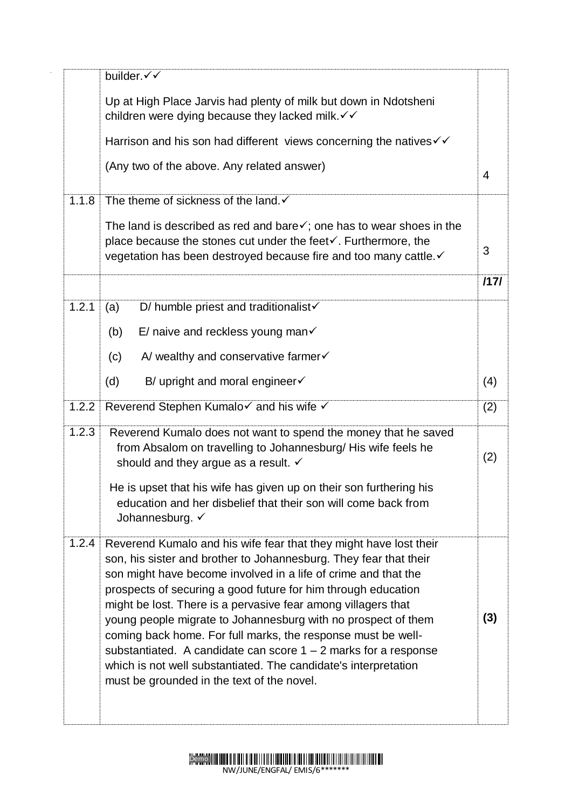|       | builder.√√                                                                                                                                                                                                                                                                                                                                                                                                                                                                                                                                                                                                                                                        |      |
|-------|-------------------------------------------------------------------------------------------------------------------------------------------------------------------------------------------------------------------------------------------------------------------------------------------------------------------------------------------------------------------------------------------------------------------------------------------------------------------------------------------------------------------------------------------------------------------------------------------------------------------------------------------------------------------|------|
|       | Up at High Place Jarvis had plenty of milk but down in Ndotsheni<br>children were dying because they lacked milk. v v                                                                                                                                                                                                                                                                                                                                                                                                                                                                                                                                             |      |
|       | Harrison and his son had different views concerning the natives $\checkmark\checkmark$                                                                                                                                                                                                                                                                                                                                                                                                                                                                                                                                                                            |      |
|       | (Any two of the above. Any related answer)                                                                                                                                                                                                                                                                                                                                                                                                                                                                                                                                                                                                                        | 4    |
| 1.1.8 | The theme of sickness of the land. ✓                                                                                                                                                                                                                                                                                                                                                                                                                                                                                                                                                                                                                              |      |
|       | The land is described as red and bare $\checkmark$ ; one has to wear shoes in the<br>place because the stones cut under the feet√. Furthermore, the<br>vegetation has been destroyed because fire and too many cattle. v                                                                                                                                                                                                                                                                                                                                                                                                                                          | 3    |
|       |                                                                                                                                                                                                                                                                                                                                                                                                                                                                                                                                                                                                                                                                   | 1171 |
| 1.2.1 | D/ humble priest and traditionalist $\checkmark$<br>(a)                                                                                                                                                                                                                                                                                                                                                                                                                                                                                                                                                                                                           |      |
|       | E/ naive and reckless young man $\checkmark$<br>(b)                                                                                                                                                                                                                                                                                                                                                                                                                                                                                                                                                                                                               |      |
|       | A/ wealthy and conservative farmer $\checkmark$<br>(c)                                                                                                                                                                                                                                                                                                                                                                                                                                                                                                                                                                                                            |      |
|       | B/ upright and moral engineer $\checkmark$<br>(d)                                                                                                                                                                                                                                                                                                                                                                                                                                                                                                                                                                                                                 | (4)  |
| 1.2.2 | Reverend Stephen Kumalo√ and his wife √                                                                                                                                                                                                                                                                                                                                                                                                                                                                                                                                                                                                                           | (2)  |
| 1.2.3 | Reverend Kumalo does not want to spend the money that he saved<br>from Absalom on travelling to Johannesburg/ His wife feels he<br>should and they argue as a result. $\checkmark$                                                                                                                                                                                                                                                                                                                                                                                                                                                                                | (2)  |
|       | He is upset that his wife has given up on their son furthering his<br>education and her disbelief that their son will come back from<br>Johannesburg. V                                                                                                                                                                                                                                                                                                                                                                                                                                                                                                           |      |
| 1.2.4 | Reverend Kumalo and his wife fear that they might have lost their<br>son, his sister and brother to Johannesburg. They fear that their<br>son might have become involved in a life of crime and that the<br>prospects of securing a good future for him through education<br>might be lost. There is a pervasive fear among villagers that<br>young people migrate to Johannesburg with no prospect of them<br>coming back home. For full marks, the response must be well-<br>substantiated. A candidate can score $1 - 2$ marks for a response<br>which is not well substantiated. The candidate's interpretation<br>must be grounded in the text of the novel. | (3)  |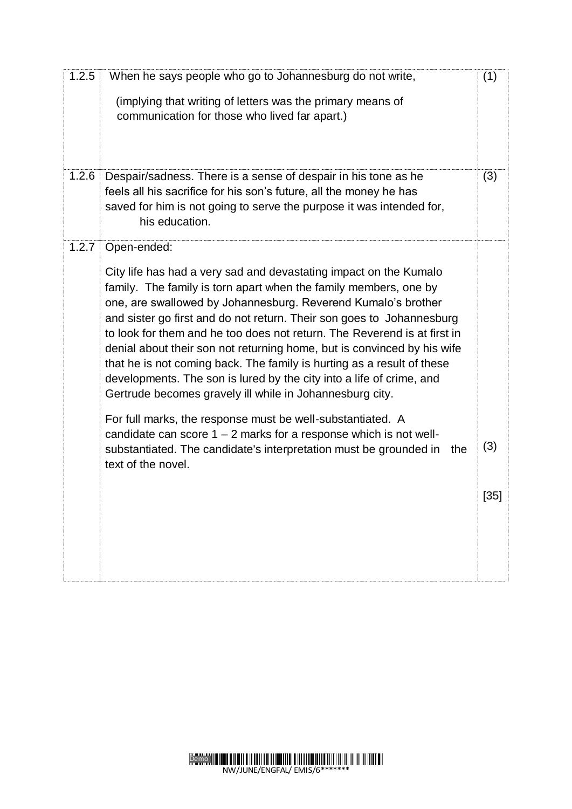| 1.2.5 | When he says people who go to Johannesburg do not write,                                                                                                                                                                                                                                                                                                                                                                                                                                                                                                                                                                                             | (1)  |
|-------|------------------------------------------------------------------------------------------------------------------------------------------------------------------------------------------------------------------------------------------------------------------------------------------------------------------------------------------------------------------------------------------------------------------------------------------------------------------------------------------------------------------------------------------------------------------------------------------------------------------------------------------------------|------|
|       | (implying that writing of letters was the primary means of<br>communication for those who lived far apart.)                                                                                                                                                                                                                                                                                                                                                                                                                                                                                                                                          |      |
| 1.2.6 | Despair/sadness. There is a sense of despair in his tone as he<br>feels all his sacrifice for his son's future, all the money he has<br>saved for him is not going to serve the purpose it was intended for,<br>his education.                                                                                                                                                                                                                                                                                                                                                                                                                       | (3)  |
| 1.2.7 | Open-ended:                                                                                                                                                                                                                                                                                                                                                                                                                                                                                                                                                                                                                                          |      |
|       | City life has had a very sad and devastating impact on the Kumalo<br>family. The family is torn apart when the family members, one by<br>one, are swallowed by Johannesburg. Reverend Kumalo's brother<br>and sister go first and do not return. Their son goes to Johannesburg<br>to look for them and he too does not return. The Reverend is at first in<br>denial about their son not returning home, but is convinced by his wife<br>that he is not coming back. The family is hurting as a result of these<br>developments. The son is lured by the city into a life of crime, and<br>Gertrude becomes gravely ill while in Johannesburg city. |      |
|       | For full marks, the response must be well-substantiated. A<br>candidate can score $1 - 2$ marks for a response which is not well-<br>substantiated. The candidate's interpretation must be grounded in<br>the<br>text of the novel.                                                                                                                                                                                                                                                                                                                                                                                                                  | (3)  |
|       |                                                                                                                                                                                                                                                                                                                                                                                                                                                                                                                                                                                                                                                      | [35] |
|       |                                                                                                                                                                                                                                                                                                                                                                                                                                                                                                                                                                                                                                                      |      |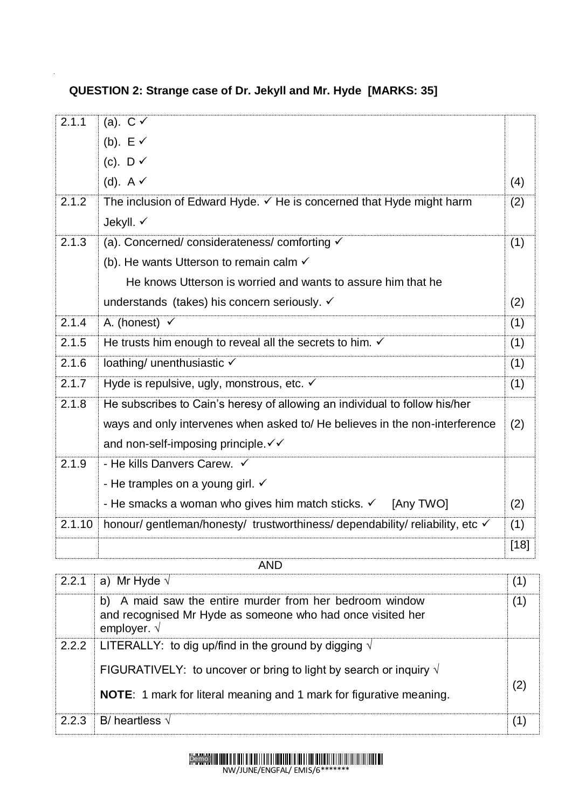**QUESTION 2: Strange case of Dr. Jekyll and Mr. Hyde [MARKS: 35]**

| 2.1.1  | (a). $C \checkmark$                                                           |        |
|--------|-------------------------------------------------------------------------------|--------|
|        | (b). $E \vee$                                                                 |        |
|        | (c). $D \checkmark$                                                           |        |
|        | (d). $A \checkmark$                                                           | (4)    |
| 2.1.2  | The inclusion of Edward Hyde. ✓ He is concerned that Hyde might harm          | (2)    |
|        | Jekyll. √                                                                     |        |
| 2.1.3  | (a). Concerned/considerateness/comforting v                                   | (1)    |
|        | (b). He wants Utterson to remain calm $\checkmark$                            |        |
|        | He knows Utterson is worried and wants to assure him that he                  |        |
|        | understands (takes) his concern seriously. ✓                                  | (2)    |
| 2.1.4  | A. (honest) $\checkmark$                                                      | (1)    |
| 2.1.5  | He trusts him enough to reveal all the secrets to him. $\checkmark$           | (1)    |
| 2.1.6  | loathing/ unenthusiastic √                                                    | (1)    |
| 2.1.7  | Hyde is repulsive, ugly, monstrous, etc. ✓                                    | (1)    |
| 2.1.8  | He subscribes to Cain's heresy of allowing an individual to follow his/her    |        |
|        | ways and only intervenes when asked to/He believes in the non-interference    | (2)    |
|        | and non-self-imposing principle. V V                                          |        |
| 2.1.9  | - He kills Danvers Carew. $\checkmark$                                        |        |
|        | - He tramples on a young girl. $\checkmark$                                   |        |
|        | - He smacks a woman who gives him match sticks. $\checkmark$ [Any TWO]        | (2)    |
| 2.1.10 | honour/ gentleman/honesty/ trustworthiness/ dependability/ reliability, etc √ | (1)    |
|        |                                                                               | $[18]$ |
|        | <b>AND</b>                                                                    |        |

| 2.2.1 | a) Mr Hyde $\sqrt{ }$                                                                                                                         |     |
|-------|-----------------------------------------------------------------------------------------------------------------------------------------------|-----|
|       | b) A maid saw the entire murder from her bedroom window<br>and recognised Mr Hyde as someone who had once visited her<br>employer. $\sqrt{ }$ | (1) |
| 2.2.2 | LITERALLY: to dig up/find in the ground by digging $\sqrt{ }$                                                                                 |     |
|       | FIGURATIVELY: to uncover or bring to light by search or inquiry $\sqrt{ }$                                                                    |     |
|       | <b>NOTE:</b> 1 mark for literal meaning and 1 mark for figurative meaning.                                                                    | (2) |
| 2.2.3 | B/ heartless $\sqrt{}$                                                                                                                        |     |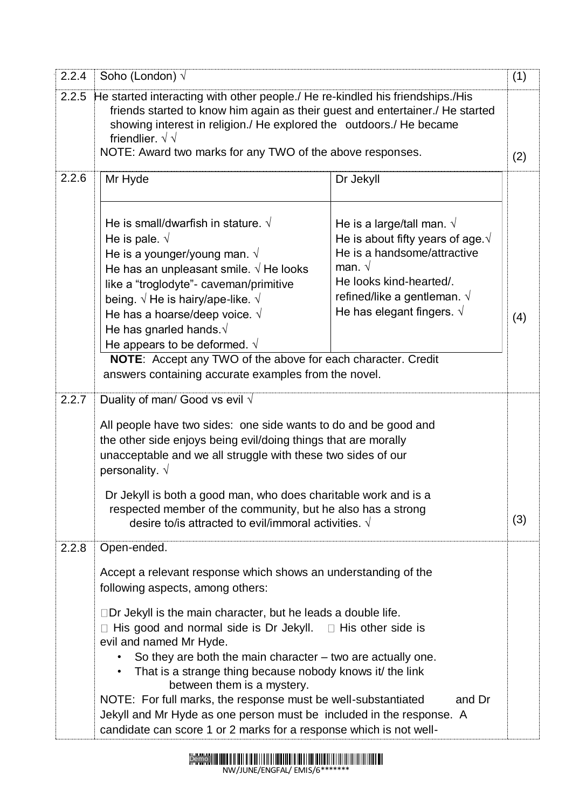| He started interacting with other people./ He re-kindled his friendships./His<br>friends started to know him again as their guest and entertainer./ He started<br>showing interest in religion./ He explored the outdoors./ He became<br>friendlier. $\sqrt{\sqrt{ }}$<br>NOTE: Award two marks for any TWO of the above responses.<br>Mr Hyde                                       |                                                                                                                                                                                                                                             | (2)                                                                                                                                                                                                                                                                                                                                                                                                                                                                                                                                                                                                                                                                                                                                                                                                                 |
|--------------------------------------------------------------------------------------------------------------------------------------------------------------------------------------------------------------------------------------------------------------------------------------------------------------------------------------------------------------------------------------|---------------------------------------------------------------------------------------------------------------------------------------------------------------------------------------------------------------------------------------------|---------------------------------------------------------------------------------------------------------------------------------------------------------------------------------------------------------------------------------------------------------------------------------------------------------------------------------------------------------------------------------------------------------------------------------------------------------------------------------------------------------------------------------------------------------------------------------------------------------------------------------------------------------------------------------------------------------------------------------------------------------------------------------------------------------------------|
|                                                                                                                                                                                                                                                                                                                                                                                      |                                                                                                                                                                                                                                             |                                                                                                                                                                                                                                                                                                                                                                                                                                                                                                                                                                                                                                                                                                                                                                                                                     |
|                                                                                                                                                                                                                                                                                                                                                                                      | Dr Jekyll                                                                                                                                                                                                                                   |                                                                                                                                                                                                                                                                                                                                                                                                                                                                                                                                                                                                                                                                                                                                                                                                                     |
| He is small/dwarfish in stature. $\sqrt{ }$<br>He is pale. $\sqrt{ }$<br>He is a younger/young man. $\sqrt{ }$<br>He has an unpleasant smile. $\sqrt{}$ He looks<br>like a "troglodyte"- caveman/primitive<br>being. $\sqrt{}$ He is hairy/ape-like. $\sqrt{}$<br>He has a hoarse/deep voice. $\sqrt{}$<br>He has gnarled hands. $\sqrt{ }$<br>He appears to be deformed. $\sqrt{ }$ | He is a large/tall man. $\sqrt{ }$<br>He is about fifty years of age. $\sqrt{ }$<br>He is a handsome/attractive<br>man. $\sqrt{ }$<br>He looks kind-hearted/.<br>refined/like a gentleman. $\sqrt{ }$<br>He has elegant fingers. $\sqrt{ }$ | (4)                                                                                                                                                                                                                                                                                                                                                                                                                                                                                                                                                                                                                                                                                                                                                                                                                 |
| Duality of man/ Good vs evil $\sqrt{}$                                                                                                                                                                                                                                                                                                                                               |                                                                                                                                                                                                                                             |                                                                                                                                                                                                                                                                                                                                                                                                                                                                                                                                                                                                                                                                                                                                                                                                                     |
| All people have two sides: one side wants to do and be good and<br>the other side enjoys being evil/doing things that are morally<br>unacceptable and we all struggle with these two sides of our<br>personality. $\sqrt{}$<br>Dr Jekyll is both a good man, who does charitable work and is a                                                                                       |                                                                                                                                                                                                                                             |                                                                                                                                                                                                                                                                                                                                                                                                                                                                                                                                                                                                                                                                                                                                                                                                                     |
|                                                                                                                                                                                                                                                                                                                                                                                      |                                                                                                                                                                                                                                             | (3)                                                                                                                                                                                                                                                                                                                                                                                                                                                                                                                                                                                                                                                                                                                                                                                                                 |
| Open-ended.                                                                                                                                                                                                                                                                                                                                                                          |                                                                                                                                                                                                                                             |                                                                                                                                                                                                                                                                                                                                                                                                                                                                                                                                                                                                                                                                                                                                                                                                                     |
| following aspects, among others:                                                                                                                                                                                                                                                                                                                                                     |                                                                                                                                                                                                                                             |                                                                                                                                                                                                                                                                                                                                                                                                                                                                                                                                                                                                                                                                                                                                                                                                                     |
| evil and named Mr Hyde.<br>between them is a mystery.                                                                                                                                                                                                                                                                                                                                | and Dr                                                                                                                                                                                                                                      |                                                                                                                                                                                                                                                                                                                                                                                                                                                                                                                                                                                                                                                                                                                                                                                                                     |
|                                                                                                                                                                                                                                                                                                                                                                                      |                                                                                                                                                                                                                                             | NOTE: Accept any TWO of the above for each character. Credit<br>answers containing accurate examples from the novel.<br>respected member of the community, but he also has a strong<br>desire to/is attracted to evil/immoral activities. $\sqrt{ }$<br>Accept a relevant response which shows an understanding of the<br>$\Box$ Dr Jekyll is the main character, but he leads a double life.<br>$\Box$ His good and normal side is Dr Jekyll. $\Box$ His other side is<br>So they are both the main character $-$ two are actually one.<br>That is a strange thing because nobody knows it the link<br>NOTE: For full marks, the response must be well-substantiated<br>Jekyll and Mr Hyde as one person must be included in the response. A<br>candidate can score 1 or 2 marks for a response which is not well- |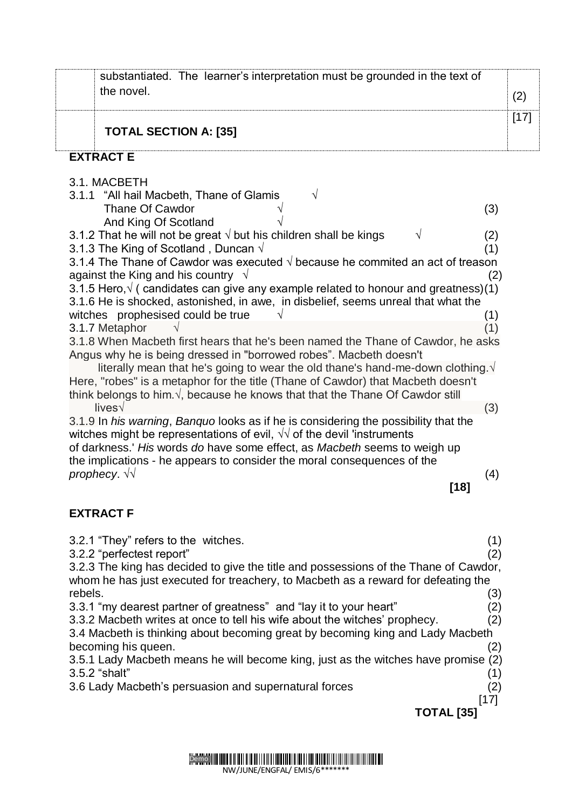|         | substantiated. The learner's interpretation must be grounded in the text of<br>the novel.                                                                                   |                   |                   | (2)    |
|---------|-----------------------------------------------------------------------------------------------------------------------------------------------------------------------------|-------------------|-------------------|--------|
|         | <b>TOTAL SECTION A: [35]</b>                                                                                                                                                |                   |                   | $[17]$ |
|         | <b>EXTRACT E</b>                                                                                                                                                            |                   |                   |        |
|         | 3.1. MACBETH                                                                                                                                                                |                   |                   |        |
|         | 3.1.1 "All hail Macbeth, Thane of Glamis<br>V                                                                                                                               |                   |                   |        |
|         | Thane Of Cawdor                                                                                                                                                             |                   | (3)               |        |
|         | And King Of Scotland                                                                                                                                                        |                   |                   |        |
|         | 3.1.2 That he will not be great $\sqrt{ }$ but his children shall be kings<br>$\sqrt{}$<br>3.1.3 The King of Scotland , Duncan $\sqrt{ }$                                   |                   | (2)<br>(1)        |        |
|         | 3.1.4 The Thane of Cawdor was executed $\sqrt{ }$ because he commited an act of treason                                                                                     |                   |                   |        |
|         | against the King and his country $\sqrt{ }$                                                                                                                                 |                   | (2)               |        |
|         | 3.1.5 Hero, $\sqrt{ }$ (candidates can give any example related to honour and greatness)(1)                                                                                 |                   |                   |        |
|         | 3.1.6 He is shocked, astonished, in awe, in disbelief, seems unreal that what the                                                                                           |                   |                   |        |
|         | witches prophesised could be true<br>3.1.7 Metaphor                                                                                                                         |                   | (1)<br>(1)        |        |
|         | 3.1.8 When Macbeth first hears that he's been named the Thane of Cawdor, he asks                                                                                            |                   |                   |        |
|         | Angus why he is being dressed in "borrowed robes". Macbeth doesn't                                                                                                          |                   |                   |        |
|         | literally mean that he's going to wear the old thane's hand-me-down clothing. $\sqrt{ }$                                                                                    |                   |                   |        |
|         | Here, "robes" is a metaphor for the title (Thane of Cawdor) that Macbeth doesn't<br>think belongs to him. $\sqrt{ }$ , because he knows that that the Thane Of Cawdor still |                   |                   |        |
|         | lives $\sqrt{ }$                                                                                                                                                            |                   | (3)               |        |
|         | 3.1.9 In his warning, Banquo looks as if he is considering the possibility that the                                                                                         |                   |                   |        |
|         | witches might be representations of evil, $\sqrt{v}$ of the devil 'instruments                                                                                              |                   |                   |        |
|         | of darkness.' His words do have some effect, as Macbeth seems to weigh up<br>the implications - he appears to consider the moral consequences of the                        |                   |                   |        |
|         | prophecy. $\forall \forall$                                                                                                                                                 |                   | (4)               |        |
|         |                                                                                                                                                                             | $[18]$            |                   |        |
|         | <b>EXTRACT F</b>                                                                                                                                                            |                   |                   |        |
|         |                                                                                                                                                                             |                   |                   |        |
|         | 3.2.1 "They" refers to the witches.                                                                                                                                         |                   | (1)               |        |
|         | 3.2.2 "perfectest report"                                                                                                                                                   |                   | (2)               |        |
|         | 3.2.3 The king has decided to give the title and possessions of the Thane of Cawdor,<br>whom he has just executed for treachery, to Macbeth as a reward for defeating the   |                   |                   |        |
| rebels. |                                                                                                                                                                             |                   | (3)               |        |
|         | 3.3.1 "my dearest partner of greatness" and "lay it to your heart"                                                                                                          |                   | $\left( 2\right)$ |        |
|         | 3.3.2 Macbeth writes at once to tell his wife about the witches' prophecy.                                                                                                  |                   | (2)               |        |
|         | 3.4 Macbeth is thinking about becoming great by becoming king and Lady Macbeth<br>becoming his queen.                                                                       |                   | (2)               |        |
|         | 3.5.1 Lady Macbeth means he will become king, just as the witches have promise (2)                                                                                          |                   |                   |        |
|         | 3.5.2 "shalt"                                                                                                                                                               |                   | (1)               |        |
|         | 3.6 Lady Macbeth's persuasion and supernatural forces                                                                                                                       |                   | $\left( 2\right)$ |        |
|         |                                                                                                                                                                             | <b>TOTAL</b> [35] | [17]              |        |
|         |                                                                                                                                                                             |                   |                   |        |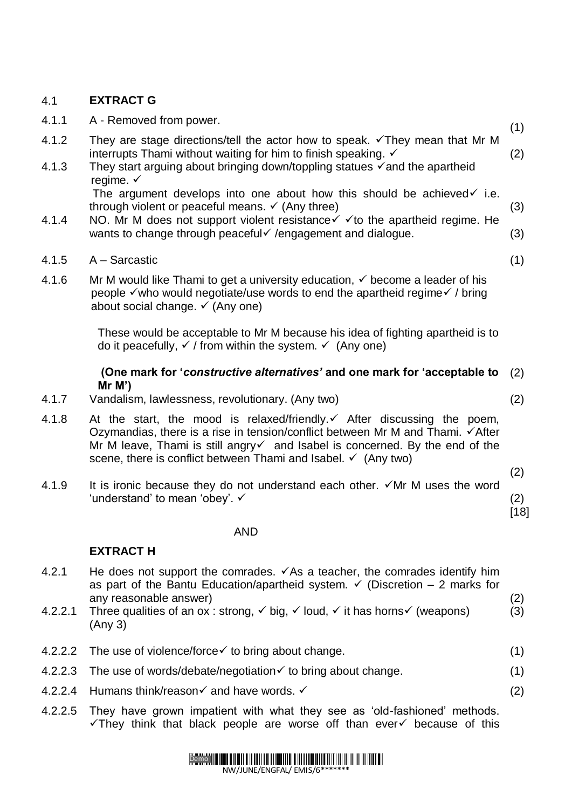#### 4.1 **EXTRACT G**

| 4.1.2<br>They are stage directions/tell the actor how to speak. $\checkmark$ They mean that Mr M                                                                                                                                                                                                                      | (1)           |
|-----------------------------------------------------------------------------------------------------------------------------------------------------------------------------------------------------------------------------------------------------------------------------------------------------------------------|---------------|
|                                                                                                                                                                                                                                                                                                                       |               |
| interrupts Thami without waiting for him to finish speaking. √<br>4.1.3<br>They start arguing about bringing down/toppling statues $\checkmark$ and the apartheid<br>regime. $\checkmark$                                                                                                                             | (2)           |
| The argument develops into one about how this should be achieved $\checkmark$ i.e.<br>through violent or peaceful means. $\checkmark$ (Any three)                                                                                                                                                                     | (3)           |
| NO. Mr M does not support violent resistance $\checkmark$ $\checkmark$ to the apartheid regime. He<br>4.1.4<br>wants to change through peaceful of /engagement and dialogue.                                                                                                                                          | (3)           |
| 4.1.5<br>$A - Sarcastic$                                                                                                                                                                                                                                                                                              | (1)           |
| 4.1.6<br>Mr M would like Thami to get a university education, $\checkmark$ become a leader of his<br>people √ who would negotiate/use words to end the apartheid regime √ / bring<br>about social change. ✓ (Any one)                                                                                                 |               |
| These would be acceptable to Mr M because his idea of fighting apartheid is to<br>do it peacefully, $\checkmark$ / from within the system. $\checkmark$ (Any one)                                                                                                                                                     |               |
| (One mark for 'constructive alternatives' and one mark for 'acceptable to<br>$Mr M$ ')                                                                                                                                                                                                                                | (2)           |
| 4.1.7<br>Vandalism, lawlessness, revolutionary. (Any two)                                                                                                                                                                                                                                                             | (2)           |
| 4.1.8<br>At the start, the mood is relaxed/friendly. If After discussing the poem,<br>Ozymandias, there is a rise in tension/conflict between Mr M and Thami. √After<br>Mr M leave, Thami is still angry and Isabel is concerned. By the end of the<br>scene, there is conflict between Thami and Isabel. ✓ (Any two) |               |
|                                                                                                                                                                                                                                                                                                                       | (2)           |
| 4.1.9<br>It is ironic because they do not understand each other. $\checkmark$ Mr M uses the word<br>'understand' to mean 'obey'. $\checkmark$                                                                                                                                                                         | (2)<br>$[18]$ |
| <b>AND</b>                                                                                                                                                                                                                                                                                                            |               |

#### **EXTRACT H**

| 4.2.1   | He does not support the comrades. $\checkmark$ As a teacher, the comrades identify him                                  |     |
|---------|-------------------------------------------------------------------------------------------------------------------------|-----|
|         | as part of the Bantu Education/apartheid system. $\checkmark$ (Discretion – 2 marks for                                 |     |
|         | any reasonable answer)                                                                                                  | (2) |
| 4.2.2.1 | Three qualities of an ox: strong, $\checkmark$ big, $\checkmark$ loud, $\checkmark$ it has horns $\checkmark$ (weapons) | (3) |

- ig, **×** .big, × ioud, × it has horns× (weapons) (Any 3)  $(3)$
- 4.2.2.2 The use of violence/force  $\checkmark$  to bring about change. (1)
- 4.2.2.3 The use of words/debate/negotiation  $\times$  to bring about change. (1)
- 4.2.2.4 Humans think/reason  $\times$  and have words.  $\times$
- 4.2.2.5 They have grown impatient with what they see as 'old-fashioned' methods.  $\checkmark$ They think that black people are worse off than ever $\checkmark$  because of this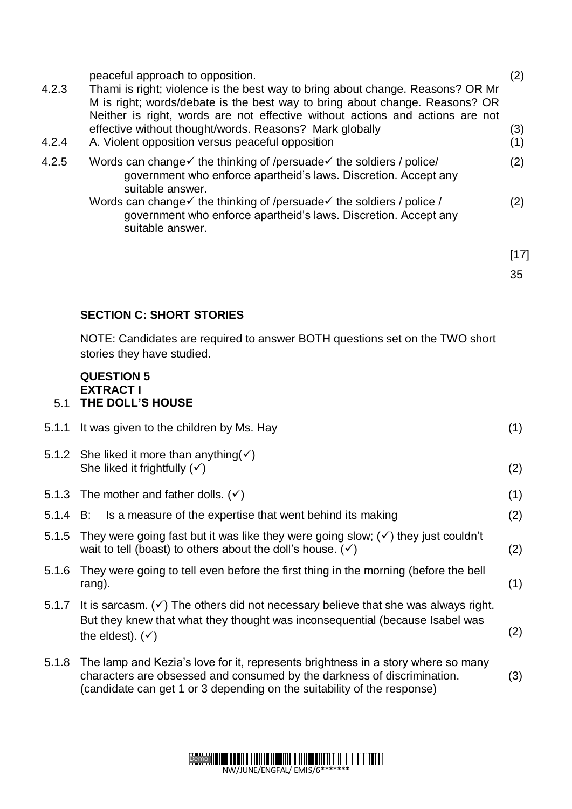| 4.2.3<br>4.2.4 | peaceful approach to opposition.<br>Thami is right; violence is the best way to bring about change. Reasons? OR Mr<br>M is right; words/debate is the best way to bring about change. Reasons? OR<br>Neither is right, words are not effective without actions and actions are not<br>effective without thought/words. Reasons? Mark globally<br>A. Violent opposition versus peaceful opposition | (2)<br>(3)<br>(1) |
|----------------|---------------------------------------------------------------------------------------------------------------------------------------------------------------------------------------------------------------------------------------------------------------------------------------------------------------------------------------------------------------------------------------------------|-------------------|
| 4.2.5          | Words can change $\checkmark$ the thinking of /persuade $\checkmark$ the soldiers / police/<br>government who enforce apartheid's laws. Discretion. Accept any<br>suitable answer.                                                                                                                                                                                                                | (2)               |
|                | Words can change $\checkmark$ the thinking of /persuade $\checkmark$ the soldiers / police /<br>government who enforce apartheid's laws. Discretion. Accept any<br>suitable answer.                                                                                                                                                                                                               | (2)               |
|                |                                                                                                                                                                                                                                                                                                                                                                                                   | [17]              |
|                |                                                                                                                                                                                                                                                                                                                                                                                                   | 35                |

#### **SECTION C: SHORT STORIES**

NOTE: Candidates are required to answer BOTH questions set on the TWO short stories they have studied.

#### **QUESTION 5 EXTRACT I** 5.1 **THE DOLL'S HOUSE**

|       | 5.1.1 It was given to the children by Ms. Hay                                                                                                                                                                                                | (1) |
|-------|----------------------------------------------------------------------------------------------------------------------------------------------------------------------------------------------------------------------------------------------|-----|
|       | 5.1.2 She liked it more than anything $(\checkmark)$<br>She liked it frightfully $(\checkmark)$                                                                                                                                              | (2) |
|       | 5.1.3 The mother and father dolls. $(v)$                                                                                                                                                                                                     | (1) |
|       | 5.1.4 B: Is a measure of the expertise that went behind its making                                                                                                                                                                           | (2) |
| 5.1.5 | They were going fast but it was like they were going slow; $(\checkmark)$ they just couldn't<br>wait to tell (boast) to others about the doll's house. $(v)$                                                                                 | (2) |
| 5.1.6 | They were going to tell even before the first thing in the morning (before the bell<br>rang).                                                                                                                                                | (1) |
|       | 5.1.7 It is sarcasm. $(\checkmark)$ The others did not necessary believe that she was always right.<br>But they knew that what they thought was inconsequential (because Isabel was<br>the eldest). $(\checkmark)$                           | (2) |
|       | 5.1.8 The lamp and Kezia's love for it, represents brightness in a story where so many<br>characters are obsessed and consumed by the darkness of discrimination.<br>(candidate can get 1 or 3 depending on the suitability of the response) | (3) |

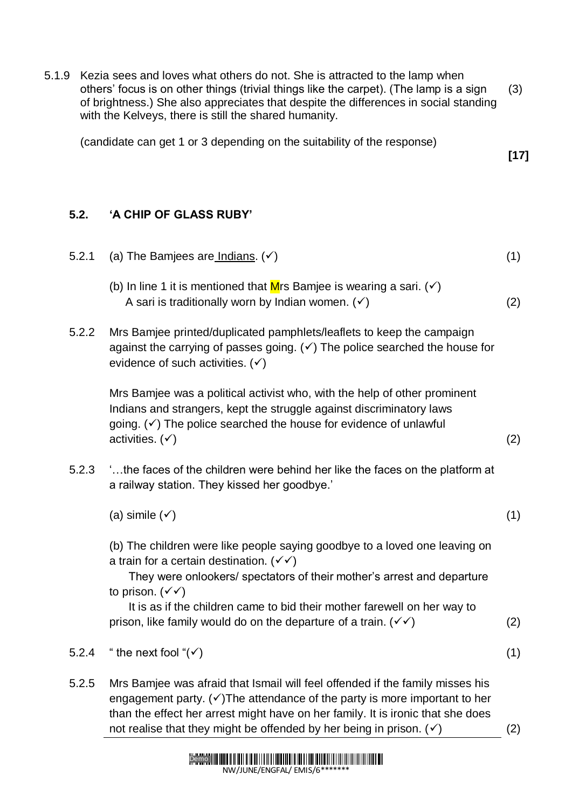5.1.9 Kezia sees and loves what others do not. She is attracted to the lamp when others' focus is on other things (trivial things like the carpet). (The lamp is a sign of brightness.) She also appreciates that despite the differences in social standing with the Kelveys, there is still the shared humanity. (3)

**[17]**

(candidate can get 1 or 3 depending on the suitability of the response)

## **5.2. 'A CHIP OF GLASS RUBY'**

- 5.2.1 (a) The Bamjees are Indians.  $(v)$  (1) (b) In line 1 it is mentioned that Mrs Bamjee is wearing a sari.  $(\checkmark)$ A sari is traditionally worn by Indian women.  $(\checkmark)$  (2) 5.2.2 Mrs Bamjee printed/duplicated pamphlets/leaflets to keep the campaign against the carrying of passes going.  $(v)$  The police searched the house for evidence of such activities.  $(v)$ Mrs Bamjee was a political activist who, with the help of other prominent Indians and strangers, kept the struggle against discriminatory laws going.  $(\checkmark)$  The police searched the house for evidence of unlawful activities.  $({\checkmark})$  (2) 5.2.3 '…the faces of the children were behind her like the faces on the platform at a railway station. They kissed her goodbye.' (a) simile  $(\checkmark)$  (1) (b) The children were like people saying goodbye to a loved one leaving on a train for a certain destination.  $(\checkmark)$  They were onlookers/ spectators of their mother's arrest and departure to prison.  $(\checkmark)$  It is as if the children came to bid their mother farewell on her way to prison, like family would do on the departure of a train.  $(\checkmark)$  (2) 5.2.4 " the next fool " $(\checkmark)$  (1) 5.2.5 Mrs Bamjee was afraid that Ismail will feel offended if the family misses his engagement party.  $(\checkmark)$ The attendance of the party is more important to her
	- than the effect her arrest might have on her family. It is ironic that she does not realise that they might be offended by her being in prison.  $(v)$  (2)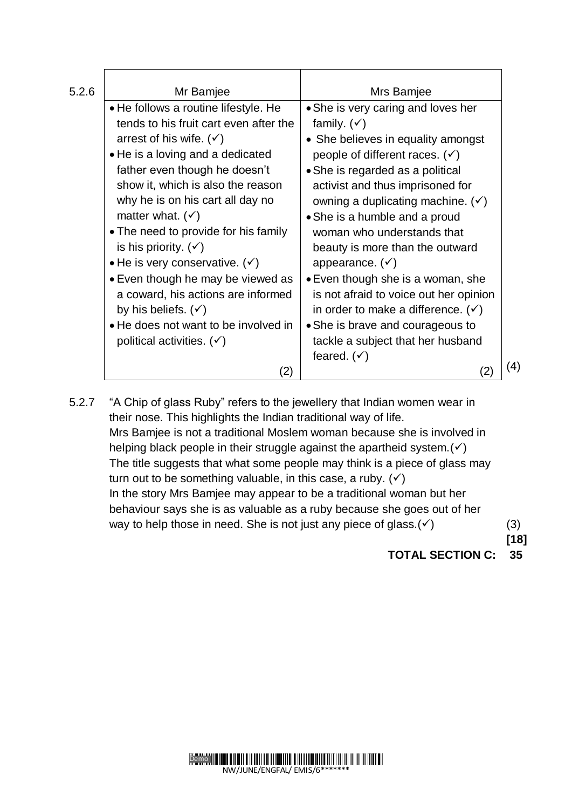| 5.2.6 | Mr Bamjee                              | Mrs Bamjee                                   |     |
|-------|----------------------------------------|----------------------------------------------|-----|
|       | • He follows a routine lifestyle. He   | • She is very caring and loves her           |     |
|       | tends to his fruit cart even after the | family. $(\checkmark)$                       |     |
|       | arrest of his wife. $(v)$              | • She believes in equality amongst           |     |
|       | • He is a loving and a dedicated       | people of different races. $(v)$             |     |
|       | father even though he doesn't          | • She is regarded as a political             |     |
|       | show it, which is also the reason      | activist and thus imprisoned for             |     |
|       | why he is on his cart all day no       | owning a duplicating machine. $(\checkmark)$ |     |
|       | matter what. $(\checkmark)$            | • She is a humble and a proud                |     |
|       | • The need to provide for his family   | woman who understands that                   |     |
|       | is his priority. $(\checkmark)$        | beauty is more than the outward              |     |
|       | • He is very conservative. $(v)$       | appearance. $(v)$                            |     |
|       | • Even though he may be viewed as      | • Even though she is a woman, she            |     |
|       | a coward, his actions are informed     | is not afraid to voice out her opinion       |     |
|       | by his beliefs. $(v)$                  | in order to make a difference. $(v)$         |     |
|       | • He does not want to be involved in   | • She is brave and courageous to             |     |
|       | political activities. $(v)$            | tackle a subject that her husband            |     |
|       |                                        | feared. $(\checkmark)$                       |     |
|       | (2)                                    |                                              | (4) |

5.2.7 "A Chip of glass Ruby" refers to the jewellery that Indian women wear in their nose. This highlights the Indian traditional way of life. Mrs Bamjee is not a traditional Moslem woman because she is involved in helping black people in their struggle against the apartheid system.  $(v)$ The title suggests that what some people may think is a piece of glass may turn out to be something valuable, in this case, a ruby.  $(v)$ In the story Mrs Bamjee may appear to be a traditional woman but her behaviour says she is as valuable as a ruby because she goes out of her way to help those in need. She is not just any piece of glass.  $(v)$  (3) **[18]**

**TOTAL SECTION C: 35**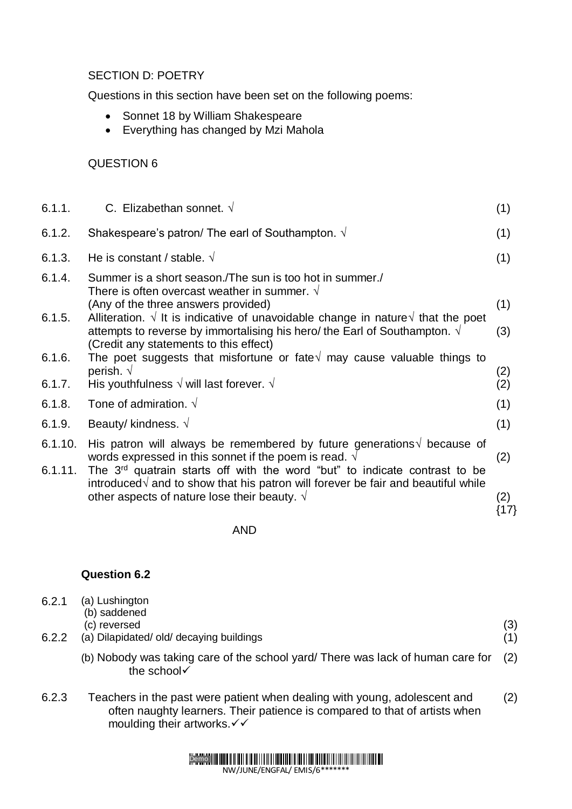#### SECTION D: POETRY

Questions in this section have been set on the following poems:

- Sonnet 18 by William Shakespeare
- Everything has changed by Mzi Mahola

#### QUESTION 6

| 6.1.1.  | C. Elizabethan sonnet. $\sqrt{ }$                                                                                                                                                    | (1)         |
|---------|--------------------------------------------------------------------------------------------------------------------------------------------------------------------------------------|-------------|
| 6.1.2.  | Shakespeare's patron/ The earl of Southampton. $\sqrt{ }$                                                                                                                            | (1)         |
| 6.1.3.  | He is constant / stable. $\sqrt{ }$                                                                                                                                                  | (1)         |
| 6.1.4.  | Summer is a short season. The sun is too hot in summer.<br>There is often overcast weather in summer. $\sqrt{ }$                                                                     |             |
| 6.1.5.  | (Any of the three answers provided)<br>Alliteration. $\sqrt{ }$ It is indicative of unavoidable change in nature $\sqrt{ }$ that the poet                                            | (1)         |
|         | attempts to reverse by immortalising his hero/ the Earl of Southampton. $\sqrt{ }$<br>(Credit any statements to this effect)                                                         | (3)         |
| 6.1.6.  | The poet suggests that misfortune or fate $\sqrt{ }$ may cause valuable things to                                                                                                    |             |
| 6.1.7.  | perish. $\sqrt{ }$<br>His youthfulness $\sqrt{}$ will last forever. $\sqrt{}$                                                                                                        | (2)<br>(2)  |
| 6.1.8.  | Tone of admiration. $\sqrt{ }$                                                                                                                                                       | (1)         |
| 6.1.9.  | Beauty/ kindness. $\sqrt{ }$                                                                                                                                                         | (1)         |
| 6.1.10. | His patron will always be remembered by future generations $\sqrt{ }$ because of<br>words expressed in this sonnet if the poem is read. $\sqrt{ }$                                   | (2)         |
| 6.1.11. | The 3 <sup>rd</sup> quatrain starts off with the word "but" to indicate contrast to be<br>introduced $\sqrt{ }$ and to show that his patron will forever be fair and beautiful while |             |
|         | other aspects of nature lose their beauty. $\sqrt{ }$                                                                                                                                | (2)<br>{17} |

AND

#### **Question 6.2**

| 6.2.1 | (a) Lushington                                                                                                 |  |
|-------|----------------------------------------------------------------------------------------------------------------|--|
|       | (b) saddened                                                                                                   |  |
|       | (c) reversed                                                                                                   |  |
| 6.2.2 | (a) Dilapidated/old/decaying buildings                                                                         |  |
|       | (b) Nobody was taking care of the school yard/ There was lack of human care for (2)<br>the school $\checkmark$ |  |

6.2.3 Teachers in the past were patient when dealing with young, adolescent and often naughty learners. Their patience is compared to that of artists when moulding their artworks. $\checkmark\checkmark$ (2)